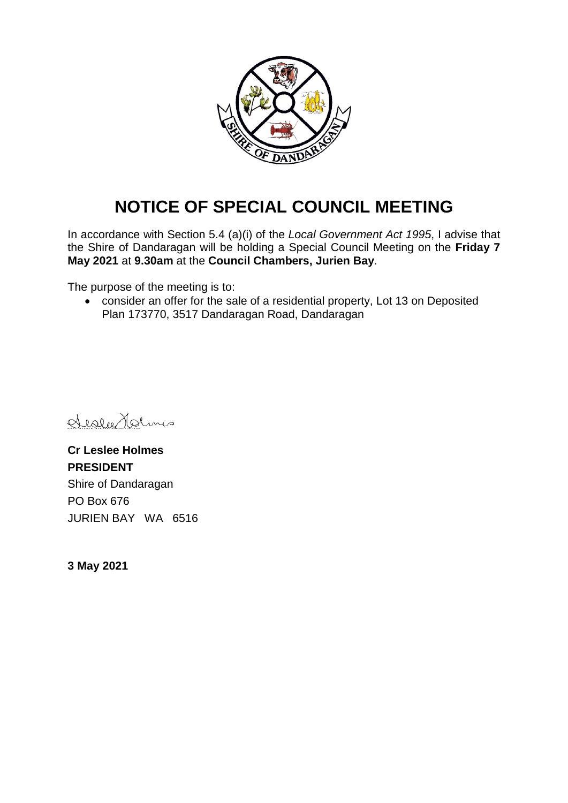

# **NOTICE OF SPECIAL COUNCIL MEETING**

In accordance with Section 5.4 (a)(i) of the *Local Government Act 1995*, I advise that the Shire of Dandaragan will be holding a Special Council Meeting on the **Friday 7 May 2021** at **9.30am** at the **Council Chambers, Jurien Bay**.

The purpose of the meeting is to:

• consider an offer for the sale of a residential property, Lot 13 on Deposited Plan 173770, 3517 Dandaragan Road, Dandaragan

Sister Holms

**Cr Leslee Holmes PRESIDENT** Shire of Dandaragan PO Box 676 JURIEN BAY WA 6516

**3 May 2021**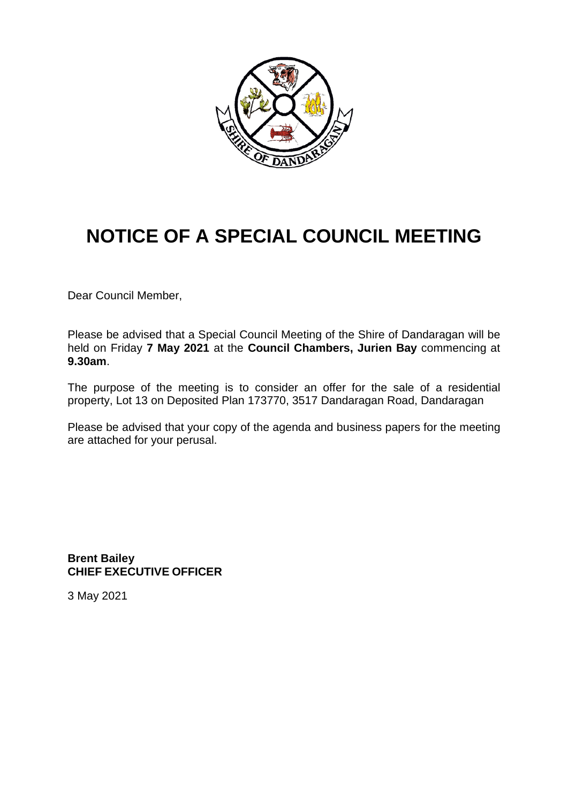

# **NOTICE OF A SPECIAL COUNCIL MEETING**

Dear Council Member,

Please be advised that a Special Council Meeting of the Shire of Dandaragan will be held on Friday **7 May 2021** at the **Council Chambers, Jurien Bay** commencing at **9.30am**.

The purpose of the meeting is to consider an offer for the sale of a residential property, Lot 13 on Deposited Plan 173770, 3517 Dandaragan Road, Dandaragan

Please be advised that your copy of the agenda and business papers for the meeting are attached for your perusal.

**Brent Bailey CHIEF EXECUTIVE OFFICER**

3 May 2021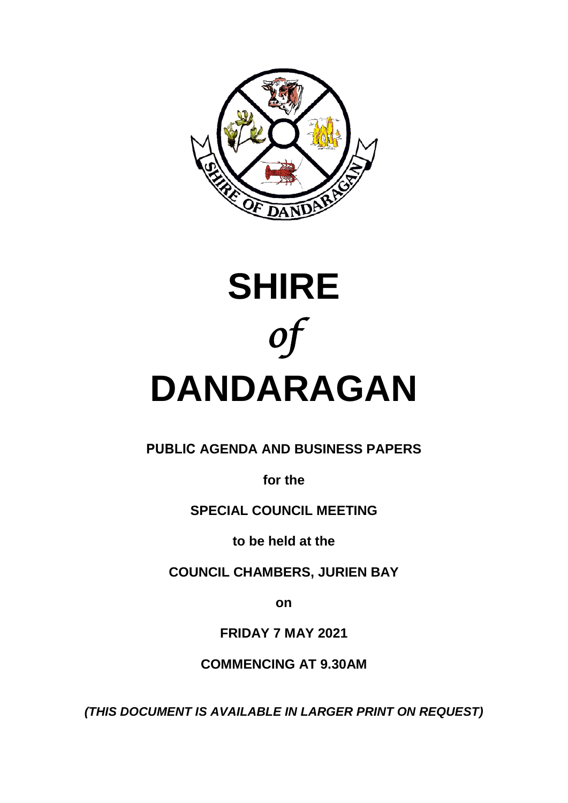



## **PUBLIC AGENDA AND BUSINESS PAPERS**

**for the**

## **SPECIAL COUNCIL MEETING**

**to be held at the** 

**COUNCIL CHAMBERS, JURIEN BAY**

**on**

**FRIDAY 7 MAY 2021**

**COMMENCING AT 9.30AM**

*(THIS DOCUMENT IS AVAILABLE IN LARGER PRINT ON REQUEST)*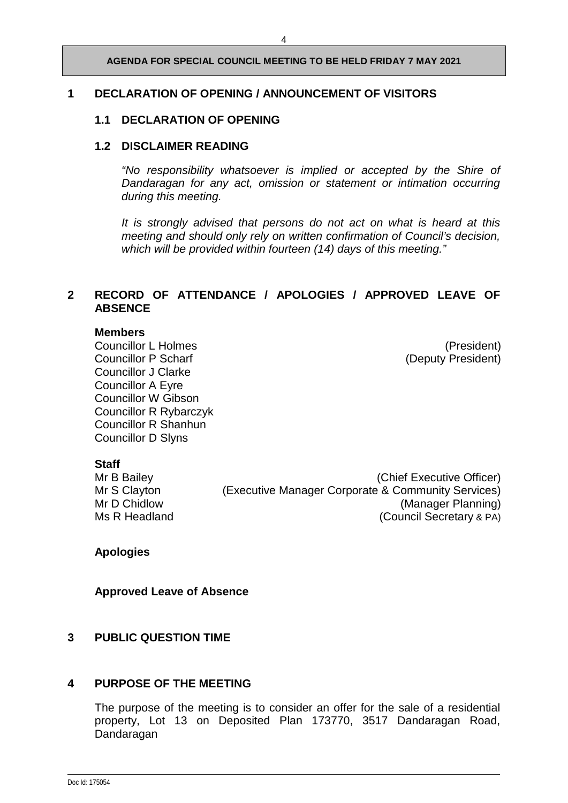#### **AGENDA FOR SPECIAL COUNCIL MEETING TO BE HELD FRIDAY 7 MAY 2021**

#### **1 DECLARATION OF OPENING / ANNOUNCEMENT OF VISITORS**

#### **1.1 DECLARATION OF OPENING**

#### **1.2 DISCLAIMER READING**

*"No responsibility whatsoever is implied or accepted by the Shire of Dandaragan for any act, omission or statement or intimation occurring during this meeting.*

*It is strongly advised that persons do not act on what is heard at this meeting and should only rely on written confirmation of Council's decision, which will be provided within fourteen (14) days of this meeting."*

#### **2 RECORD OF ATTENDANCE / APOLOGIES / APPROVED LEAVE OF ABSENCE**

#### **Members**

Councillor L Holmes<br>
Councillor P Scharf<br>
Councillor P Scharf

Councillor Councillor P Scharf

Councillor P Scharf

Councillor B Scharf

Councillor C Scharf

Councillor B Scharf

Councillor B Scharf Councillor J Clarke Councillor A Eyre Councillor W Gibson Councillor R Rybarczyk Councillor R Shanhun Councillor D Slyns

(Deputy President)

**Staff**<br>Mr B Bailey

(Chief Executive Officer) Mr S Clayton (Executive Manager Corporate & Community Services) Mr D Chidlow (Manager Planning)<br>Ms R Headland (Council Secretary & PA) (Council Secretary & PA)

**Apologies** 

**Approved Leave of Absence**

#### **3 PUBLIC QUESTION TIME**

#### **4 PURPOSE OF THE MEETING**

The purpose of the meeting is to consider an offer for the sale of a residential property, Lot 13 on Deposited Plan 173770, 3517 Dandaragan Road, Dandaragan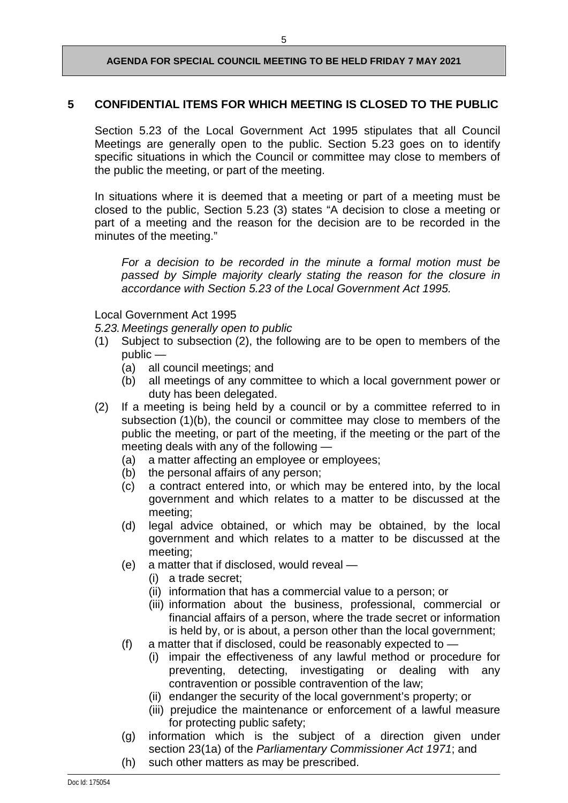#### **AGENDA FOR SPECIAL COUNCIL MEETING TO BE HELD FRIDAY 7 MAY 2021**

### **5 CONFIDENTIAL ITEMS FOR WHICH MEETING IS CLOSED TO THE PUBLIC**

Section 5.23 of the Local Government Act 1995 stipulates that all Council Meetings are generally open to the public. Section 5.23 goes on to identify specific situations in which the Council or committee may close to members of the public the meeting, or part of the meeting.

In situations where it is deemed that a meeting or part of a meeting must be closed to the public, Section 5.23 (3) states "A decision to close a meeting or part of a meeting and the reason for the decision are to be recorded in the minutes of the meeting."

*For a decision to be recorded in the minute a formal motion must be passed by Simple majority clearly stating the reason for the closure in accordance with Section 5.23 of the Local Government Act 1995.*

Local Government Act 1995

*5.23.Meetings generally open to public*

- (1) Subject to subsection (2), the following are to be open to members of the public —
	- (a) all council meetings; and
	- (b) all meetings of any committee to which a local government power or duty has been delegated.
- (2) If a meeting is being held by a council or by a committee referred to in subsection (1)(b), the council or committee may close to members of the public the meeting, or part of the meeting, if the meeting or the part of the meeting deals with any of the following —
	- (a) a matter affecting an employee or employees;
	- (b) the personal affairs of any person;<br>(c) a contract entered into, or which
	- a contract entered into, or which may be entered into, by the local government and which relates to a matter to be discussed at the meeting;
	- (d) legal advice obtained, or which may be obtained, by the local government and which relates to a matter to be discussed at the meeting;
	- (e) a matter that if disclosed, would reveal
		- (i) a trade secret;
		- (ii) information that has a commercial value to a person; or
		- (iii) information about the business, professional, commercial or financial affairs of a person, where the trade secret or information is held by, or is about, a person other than the local government;
	- (f) a matter that if disclosed, could be reasonably expected to
		- (i) impair the effectiveness of any lawful method or procedure for preventing, detecting, investigating or dealing with any contravention or possible contravention of the law;
		- (ii) endanger the security of the local government's property; or
		- (iii) prejudice the maintenance or enforcement of a lawful measure for protecting public safety;
	- (g) information which is the subject of a direction given under section 23(1a) of the *Parliamentary Commissioner Act 1971*; and
	- (h) such other matters as may be prescribed.